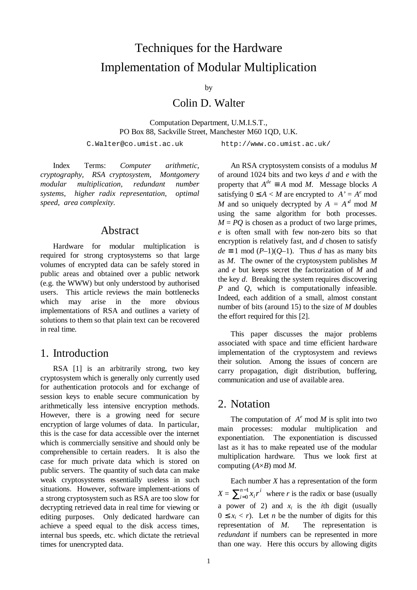# Techniques for the Hardware Implementation of Modular Multiplication

by

Colin D. Walter

Computation Department, U.M.I.S.T., PO Box 88, Sackville Street, Manchester M60 1QD, U.K.

C.Walter@co.umist.ac.uk http://www.co.umist.ac.uk/

Index Terms: *Computer arithmetic, cryptography, RSA cryptosystem, Montgomery modular multiplication, redundant number systems, higher radix representation, optimal speed, area complexity.*

### Abstract

Hardware for modular multiplication is required for strong cryptosystems so that large volumes of encrypted data can be safely stored in public areas and obtained over a public network (e.g. the WWW) but only understood by authorised users. This article reviews the main bottlenecks which may arise in the more obvious implementations of RSA and outlines a variety of solutions to them so that plain text can be recovered in real time.

### 1. Introduction

RSA [1] is an arbitrarily strong, two key cryptosystem which is generally only currently used for authentication protocols and for exchange of session keys to enable secure communication by arithmetically less intensive encryption methods. However, there is a growing need for secure encryption of large volumes of data. In particular, this is the case for data accessible over the internet which is commercially sensitive and should only be comprehensible to certain readers. It is also the case for much private data which is stored on public servers. The quantity of such data can make weak cryptosystems essentially useless in such situations. However, software implement-ations of a strong cryptosystem such as RSA are too slow for decrypting retrieved data in real time for viewing or editing purposes. Only dedicated hardware can achieve a speed equal to the disk access times, internal bus speeds, etc. which dictate the retrieval times for unencrypted data.

An RSA cryptosystem consists of a modulus *M* of around 1024 bits and two keys *d* and *e* with the property that  $A^{de} \equiv A \mod M$ . Message blocks *A* satisfying  $0 \le A < M$  are encrypted to  $A' = A^e \mod$ *M* and so uniquely decrypted by  $A = A^d \mod M$ using the same algorithm for both processes.  $M = PQ$  is chosen as a product of two large primes, *e* is often small with few non-zero bits so that encryption is relatively fast, and *d* chosen to satisfy  $de \equiv 1 \mod (P-1)(Q-1)$ . Thus *d* has as many bits as *M*. The owner of the cryptosystem publishes *M* and *e* but keeps secret the factorization of *M* and the key *d*. Breaking the system requires discovering *P* and *Q*, which is computationally infeasible. Indeed, each addition of a small, almost constant number of bits (around 15) to the size of *M* doubles the effort required for this [2].

This paper discusses the major problems associated with space and time efficient hardware implementation of the cryptosystem and reviews their solution. Among the issues of concern are carry propagation, digit distribution, buffering, communication and use of available area.

#### 2. Notation

The computation of  $A^e$  mod  $M$  is split into two main processes: modular multiplication and exponentiation. The exponentiation is discussed last as it has to make repeated use of the modular multiplication hardware. Thus we look first at computing (*A*×*B*) mod *M*.

Each number *X* has a representation of the form  $X = \sum_{i=0}^{n-1} x_i r^i$ *i n*  $\sum_{i=0}^{n-1} x_i r^i$  where *r* is the radix or base (usually a power of 2) and  $x_i$  is the *i*th digit (usually  $0 \leq x_i < r$ ). Let *n* be the number of digits for this representation of *M*. The representation is *redundant* if numbers can be represented in more than one way. Here this occurs by allowing digits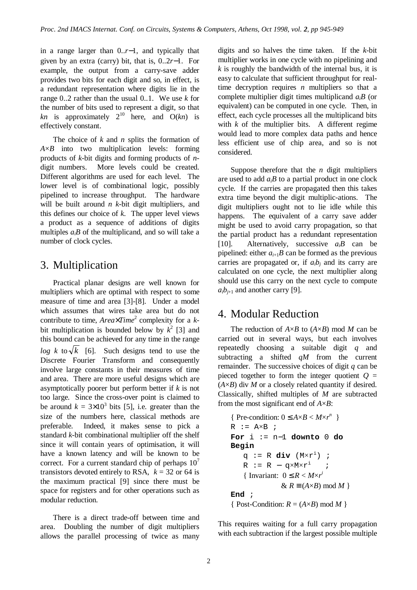in a range larger than 0..*r*−1, and typically that given by an extra (carry) bit, that is, 0..2*r*−1. For example, the output from a carry-save adder provides two bits for each digit and so, in effect, is a redundant representation where digits lie in the range 0..2 rather than the usual 0..1. We use *k* for the number of bits used to represent a digit, so that *kn* is approximately  $2^{10}$  here, and  $O(kn)$  is effectively constant.

The choice of *k* and *n* splits the formation of *A*×*B* into two multiplication levels: forming products of *k*-bit digits and forming products of *n*digit numbers. More levels could be created. Different algorithms are used for each level. The lower level is of combinational logic, possibly pipelined to increase throughput. The hardware will be built around *n k*-bit digit multipliers, and this defines our choice of  $k$ . The upper level views a product as a sequence of additions of digits multiples  $a_i$ *B* of the multiplicand, and so will take a number of clock cycles.

# 3. Multiplication

Practical planar designs are well known for multipliers which are optimal with respect to some measure of time and area [3]-[8]. Under a model which assumes that wires take area but do not contribute to time, *Area*×*Time*<sup>2</sup> complexity for a *k*bit multiplication is bounded below by  $k^2$  [3] and this bound can be achieved for any time in the range *log k* to  $\sqrt{k}$  [6]. Such designs tend to use the Discrete Fourier Transform and consequently involve large constants in their measures of time and area. There are more useful designs which are asymptotically poorer but perform better if *k* is not too large. Since the cross-over point is claimed to be around  $k = 3 \times 10^3$  bits [5], i.e. greater than the size of the numbers here, classical methods are preferable. Indeed, it makes sense to pick a standard *k*-bit combinational multiplier off the shelf since it will contain years of optimisation, it will have a known latency and will be known to be correct. For a current standard chip of perhaps  $10<sup>7</sup>$ transistors devoted entirely to RSA,  $k = 32$  or 64 is the maximum practical [9] since there must be space for registers and for other operations such as modular reduction.

There is a direct trade-off between time and area. Doubling the number of digit multipliers allows the parallel processing of twice as many

digits and so halves the time taken. If the *k*-bit multiplier works in one cycle with no pipelining and *k* is roughly the bandwidth of the internal bus, it is easy to calculate that sufficient throughput for realtime decryption requires *n* multipliers so that a complete multiplier digit times multiplicand *aiB* (or equivalent) can be computed in one cycle. Then, in effect, each cycle processes all the multiplicand bits with  $k$  of the multiplier bits. A different regime would lead to more complex data paths and hence less efficient use of chip area, and so is not considered.

Suppose therefore that the *n* digit multipliers are used to add *aiB* to a partial product in one clock cycle. If the carries are propagated then this takes extra time beyond the digit multiplic-ations. The digit multipliers ought not to lie idle while this happens. The equivalent of a carry save adder might be used to avoid carry propagation, so that the partial product has a redundant representation [10]. Alternatively, successive  $a_iB$  can be pipelined: either  $a_{i+1}B$  can be formed as the previous carries are propagated or, if  $a_i b_j$  and its carry are calculated on one cycle, the next multiplier along should use this carry on the next cycle to compute  $a_i b_{i+1}$  and another carry [9].

# 4. Modular Reduction

The reduction of  $A \times B$  to  $(A \times B)$  mod *M* can be carried out in several ways, but each involves repeatedly choosing a suitable digit *q* and subtracting a shifted *qM* from the current remainder. The successive choices of digit *q* can be pieced together to form the integer quotient  $Q =$  $(A \times B)$  div *M* or a closely related quantity if desired. Classically, shifted multiples of *M* are subtracted from the most significant end of *A*×*B*:

```
{ Pre-condition: 0 \leq A \times B < M \times r^n }
R := AXB ;
For i := n−1 downto 0 do
Begin
    q := R div (M×r
i) ;
    R := R - q \times M \times r^i ;
    { Invariant: 0 \leq R < M \times r^i& R ≡ (A \times B) mod M }
End ;
{ Post-Condition: R = (A \times B) \text{ mod } M
```
This requires waiting for a full carry propagation with each subtraction if the largest possible multiple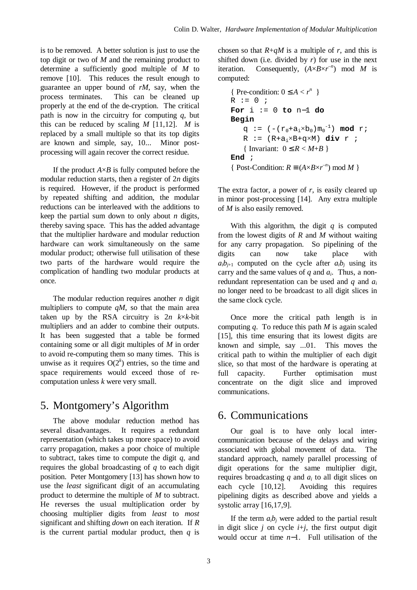is to be removed. A better solution is just to use the top digit or two of *M* and the remaining product to determine a sufficiently good multiple of *M* to remove [10]. This reduces the result enough to guarantee an upper bound of *rM*, say, when the process terminates. This can be cleaned up properly at the end of the de-cryption. The critical path is now in the circuitry for computing *q*, but this can be reduced by scaling  $M$  [11,12].  $M$  is replaced by a small multiple so that its top digits are known and simple, say, 10... Minor postprocessing will again recover the correct residue.

If the product  $A \times B$  is fully computed before the modular reduction starts, then a register of 2*n* digits is required. However, if the product is performed by repeated shifting and addition, the modular reductions can be interleaved with the additions to keep the partial sum down to only about *n* digits, thereby saving space. This has the added advantage that the multiplier hardware and modular reduction hardware can work simultaneously on the same modular product; otherwise full utilisation of these two parts of the hardware would require the complication of handling two modular products at once.

The modular reduction requires another *n* digit multipliers to compute  $qM$ , so that the main area taken up by the RSA circuitry is  $2n$  *k*×*k*-bit multipliers and an adder to combine their outputs. It has been suggested that a table be formed containing some or all digit multiples of *M* in order to avoid re-computing them so many times. This is unwise as it requires  $O(2<sup>k</sup>)$  entries, so the time and space requirements would exceed those of recomputation unless *k* were very small.

# 5. Montgomery's Algorithm

The above modular reduction method has several disadvantages. It requires a redundant representation (which takes up more space) to avoid carry propagation, makes a poor choice of multiple to subtract, takes time to compute the digit *q*, and requires the global broadcasting of *q* to each digit position. Peter Montgomery [13] has shown how to use the *least* significant digit of an accumulating product to determine the multiple of *M* to subtract. He reverses the usual multiplication order by choosing multiplier digits from *least* to *most* significant and shifting *down* on each iteration. If *R* is the current partial modular product, then  $q$  is chosen so that  $R + qM$  is a multiple of *r*, and this is shifted down (i.e. divided by *r*) for use in the next iteration. Consequently,  $(A \times B \times r^{-n})$  mod *M* is computed:

```
{ Pre-condition: 0 \leq A < r^n }
R := 0 ;
For i := 0 to n−1 do
Begin
    q := (-r_0 + a_i \times b_0) m_0^{-1} mod r;
    R := (R + a_i \times B + q \times M) div r ;
    { Invariant: 0 \leq R < M + B }
End ;
{ Post-Condition: R = (A \times B \times r^{-n}) \mod M }
```
The extra factor, a power of *r*, is easily cleared up in minor post-processing [14]. Any extra multiple of *M* is also easily removed.

With this algorithm, the digit *q* is computed from the lowest digits of *R* and *M* without waiting for any carry propagation. So pipelining of the digits can now take place with  $a_i b_{j+1}$  computed on the cycle after  $a_i b_j$  using its carry and the same values of *q* and *a<sup>i</sup>* . Thus, a nonredundant representation can be used and *q* and *a<sup>i</sup>* no longer need to be broadcast to all digit slices in the same clock cycle.

Once more the critical path length is in computing *q*. To reduce this path *M* is again scaled [15], this time ensuring that its lowest digits are known and simple, say ...01. This moves the critical path to within the multiplier of each digit slice, so that most of the hardware is operating at full capacity. Further optimisation must concentrate on the digit slice and improved communications.

# 6. Communications

Our goal is to have only local intercommunication because of the delays and wiring associated with global movement of data. The standard approach, namely parallel processing of digit operations for the same multiplier digit, requires broadcasting *q* and *a<sup>i</sup>* to all digit slices on each cycle [10,12]. Avoiding this requires pipelining digits as described above and yields a systolic array [16,17,9].

If the term  $a_i b_j$  were added to the partial result in digit slice  $j$  on cycle  $i+j$ , the first output digit would occur at time *n*−1. Full utilisation of the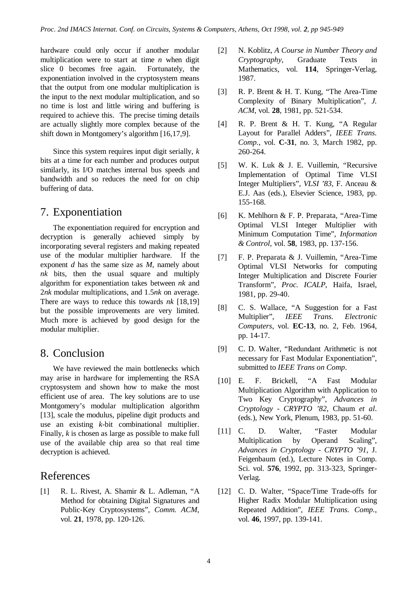hardware could only occur if another modular multiplication were to start at time *n* when digit slice 0 becomes free again. Fortunately, the exponentiation involved in the cryptosystem means that the output from one modular multiplication is the input to the next modular multiplication, and so no time is lost and little wiring and buffering is required to achieve this. The precise timing details are actually slightly more complex because of the shift down in Montgomery's algorithm [16,17,9].

Since this system requires input digit serially, *k* bits at a time for each number and produces output similarly, its I/O matches internal bus speeds and bandwidth and so reduces the need for on chip buffering of data.

# 7. Exponentiation

The exponentiation required for encryption and decryption is generally achieved simply by incorporating several registers and making repeated use of the modular multiplier hardware. If the exponent *d* has the same size as *M*, namely about *nk* bits, then the usual square and multiply algorithm for exponentiation takes between *nk* and 2*nk* modular multiplications, and 1.5*nk* on average. There are ways to reduce this towards *nk* [18,19] but the possible improvements are very limited. Much more is achieved by good design for the modular multiplier.

### 8. Conclusion

We have reviewed the main bottlenecks which may arise in hardware for implementing the RSA cryptosystem and shown how to make the most efficient use of area. The key solutions are to use Montgomery's modular multiplication algorithm [13], scale the modulus, pipeline digit products and use an existing *k*-bit combinational multiplier. Finally, *k* is chosen as large as possible to make full use of the available chip area so that real time decryption is achieved.

# References

[1] R. L. Rivest, A. Shamir & L. Adleman, "A Method for obtaining Digital Signatures and Public-Key Cryptosystems", *Comm. ACM*, vol. **21**, 1978, pp. 120-126.

- [2] N. Koblitz, *A Course in Number Theory and Cryptography*, Graduate Texts in Mathematics, vol. **114**, Springer-Verlag, 1987.
- [3] R. P. Brent & H. T. Kung, "The Area-Time Complexity of Binary Multiplication", *J. ACM*, vol. **28**, 1981, pp. 521-534.
- [4] R. P. Brent & H. T. Kung, "A Regular Layout for Parallel Adders", *IEEE Trans. Comp.*, vol. **C-31**, no. 3, March 1982, pp. 260-264.
- [5] W. K. Luk & J. E. Vuillemin, "Recursive Implementation of Optimal Time VLSI Integer Multipliers", *VLSI '83*, F. Anceau & E.J. Aas (eds.), Elsevier Science, 1983, pp. 155-168.
- [6] K. Mehlhorn & F. P. Preparata, "Area-Time Optimal VLSI Integer Multiplier with Minimum Computation Time", *Information & Control*, vol. **58**, 1983, pp. 137-156.
- [7] F. P. Preparata & J. Vuillemin, "Area-Time Optimal VLSI Networks for computing Integer Multiplication and Discrete Fourier Transform", *Proc. ICALP*, Haifa, Israel, 1981, pp. 29-40.
- [8] C. S. Wallace, "A Suggestion for a Fast Multiplier", *IEEE Trans. Electronic Computers*, vol. **EC-13**, no. 2, Feb. 1964, pp. 14-17.
- [9] C. D. Walter, "Redundant Arithmetic is not necessary for Fast Modular Exponentiation", submitted to *IEEE Trans on Comp*.
- [10] E. F. Brickell, "A Fast Modular Multiplication Algorithm with Application to Two Key Cryptography", *Advances in Cryptology - CRYPTO '82*, Chaum *et al*. (eds.), New York, Plenum, 1983, pp. 51-60.
- [11] C. D. Walter, "Faster Modular Multiplication by Operand Scaling", *Advances in Cryptology - CRYPTO '91*, J. Feigenbaum (ed.), Lecture Notes in Comp. Sci. vol. **576**, 1992, pp. 313-323, Springer-Verlag.
- [12] C. D. Walter, "Space/Time Trade-offs for Higher Radix Modular Multiplication using Repeated Addition", *IEEE Trans. Comp*., vol. **46**, 1997, pp. 139-141.